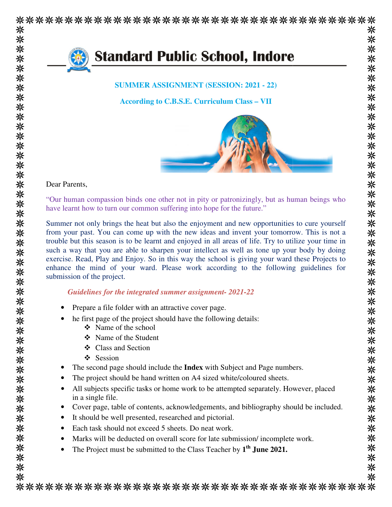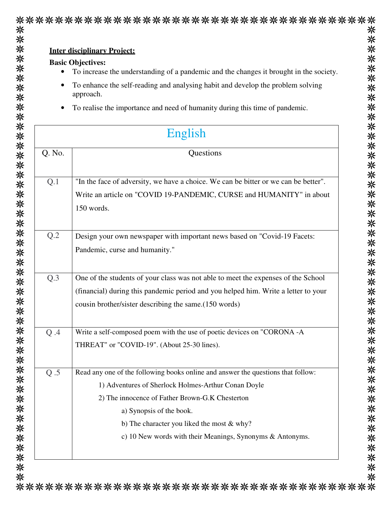|         | <b>Inter disciplinary Project:</b>                                                           |  |  |
|---------|----------------------------------------------------------------------------------------------|--|--|
|         | <b>Basic Objectives:</b>                                                                     |  |  |
|         | To increase the understanding of a pandemic and the changes it brought in the society.       |  |  |
|         | To enhance the self-reading and analysing habit and develop the problem solving<br>approach. |  |  |
|         | To realise the importance and need of humanity during this time of pandemic.                 |  |  |
| English |                                                                                              |  |  |
| Q. No.  | Questions                                                                                    |  |  |
| Q.1     | "In the face of adversity, we have a choice. We can be bitter or we can be better".          |  |  |
|         | Write an article on "COVID 19-PANDEMIC, CURSE and HUMANITY" in about                         |  |  |
|         | 150 words.                                                                                   |  |  |
| Q.2     | Design your own newspaper with important news based on "Covid-19 Facets:                     |  |  |
|         | Pandemic, curse and humanity."                                                               |  |  |
| Q.3     | One of the students of your class was not able to meet the expenses of the School            |  |  |
|         | (financial) during this pandemic period and you helped him. Write a letter to your           |  |  |
|         | cousin brother/sister describing the same.(150 words)                                        |  |  |
| Q.A     | Write a self-composed poem with the use of poetic devices on "CORONA -A                      |  |  |
|         | THREAT" or "COVID-19". (About 25-30 lines).                                                  |  |  |
| Q.5     | Read any one of the following books online and answer the questions that follow:             |  |  |
|         | 1) Adventures of Sherlock Holmes-Arthur Conan Doyle                                          |  |  |
|         | 2) The innocence of Father Brown-G.K Chesterton                                              |  |  |
|         | a) Synopsis of the book.                                                                     |  |  |
|         | b) The character you liked the most & why?                                                   |  |  |
|         | c) 10 New words with their Meanings, Synonyms & Antonyms.                                    |  |  |

\*\*\*\*\*\*\*\*\*\*\*\*\*\*\*\*\*\*\*\*\*\*\*\*\*\*\*\*\*\*\*\*\*\*\*\*\*\*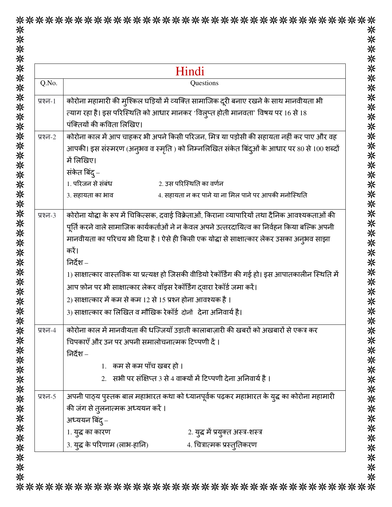|             | Hindi                                                                                             |
|-------------|---------------------------------------------------------------------------------------------------|
| Q.No.       | Questions                                                                                         |
| प्रश्न- $1$ | कोरोना महामारी की म्शिकल घड़ियों में व्यक्ति सामाजिक दूरी बनाए रखने के साथ मानवीयता भी            |
|             | त्याग रहा है। इस परिस्थिति को आधार मानकर 'विल्प्त होती मानवता' विषय पर 16 से 18                   |
|             | पंक्तियों की कविता लिखिए।                                                                         |
| प्रश्न-2    | कोरोना काल में आप चाहकर भी अपने किसी परिजन, मित्र या पड़ोसी की सहायता नहीं कर पाए और वह           |
|             | आपकी। इस संस्मरण (अनुभव व स्मृति ) को निम्नलिखित संकेत बिंद्ओं के आधार पर 80 से 100 शब्दों        |
|             | में लिखिए।                                                                                        |
|             | संकेत बिंद् –                                                                                     |
|             | 1. परिजन से संबंध<br>2. उस परिस्थिति का वर्णन                                                     |
|             | 4. सहायता न कर पाने या ना मिल पाने पर आपकी मनोस्थिति<br>3. सहायता का भाव                          |
| प्रश्न- $3$ | कोरोना योद्धा के रूप में चिकित्सक, दवाई विक्रेताओं, किराना व्यापारियों तथा दैनिक आवश्यकताओं की    |
|             | पूर्ति करने वाले सामाजिक कार्यकर्ताओं ने न केवल अपने उत्तरदायित्व का निर्वहन किया बल्कि अपनी      |
|             | मानवीयता का परिचय भी दिया है । ऐसे ही किसी एक योद्धा से साक्षात्कार लेकर उसका अनुभव साझा          |
|             | करें।                                                                                             |
|             | निर्देश –                                                                                         |
|             | 1) साक्षात्कार वास्तविक या प्रत्यक्ष हो जिसकी वीडियो रेकॉर्डिंग की गई हो। इस आपातकालीन स्थिति में |
|             | आप फ़ोन पर भी साक्षात्कार लेकर वॉइस रेकॉर्डिंग द्वारा रेकॉर्ड जमा करें।                           |
|             | 2) साक्षात्कार में कम से कम 12 से 15 प्रश्न होना आवश्यक है ।                                      |
|             | 3) साक्षात्कार का लिखित व मौखिक रेकॉर्ड दोनों देना अनिवार्य है।                                   |
| प्रश्न-4    | कोरोना काल में मानवीयता की धज्जियाँ उड़ाती कालाबाज़ारी की खबरों को अखबारों से एकत्र कर            |
|             | चिपकाएँ और उन पर अपनी समालोचनात्मक टिप्पणी दें।                                                   |
|             | निर्देश –                                                                                         |
|             | 1. कम से कम पाँच खबर हो ।                                                                         |
|             | 2. सभी पर संक्षिप्त 3 से 4 वाक्यों में टिप्पणी देना अनिवार्य है ।                                 |
| प्रश्न-5    | अपनी पाठ्य पुस्तक बाल महाभारत कथा को ध्यानपूर्वक पढ़कर महाभारत के युद्ध का कोरोना महामारी         |
|             | की जंग से तुलनात्मक अध्ययन करें ।                                                                 |
|             | अध्ययन बिंद् –                                                                                    |
|             | 1. युद्ध का कारण<br>2. युद्ध में प्रयुक्त अस्त्र-शस्त्र                                           |
|             | 3. युद्ध के परिणाम (लाभ-हानि)<br>4. चित्रात्मक प्रस्तुतिकरण                                       |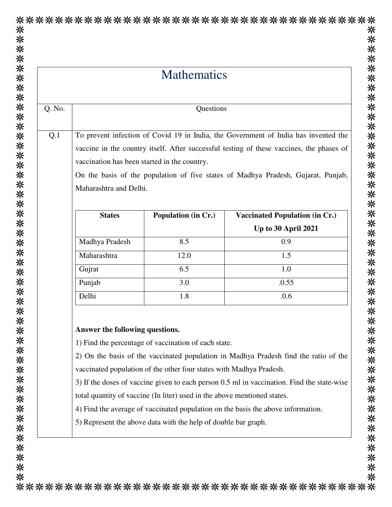|        |                                                                                            | <b>Mathematics</b>                           |                                                                |  |  |
|--------|--------------------------------------------------------------------------------------------|----------------------------------------------|----------------------------------------------------------------|--|--|
| Q. No. |                                                                                            | Questions                                    |                                                                |  |  |
| Q.1    | To prevent infection of Covid 19 in India, the Government of India has invented the        |                                              |                                                                |  |  |
|        | vaccine in the country itself. After successful testing of these vaccines, the phases of   |                                              |                                                                |  |  |
|        |                                                                                            | vaccination has been started in the country. |                                                                |  |  |
|        | On the basis of the population of five states of Madhya Pradesh, Gujarat, Punjab,          |                                              |                                                                |  |  |
|        | Maharashtra and Delhi.                                                                     |                                              |                                                                |  |  |
|        | <b>States</b>                                                                              | Population (in Cr.)                          | <b>Vaccinated Population (in Cr.)</b>                          |  |  |
|        |                                                                                            |                                              | <b>Up to 30 April 2021</b>                                     |  |  |
|        | Madhya Pradesh                                                                             | 8.5                                          | 0.9                                                            |  |  |
|        | Maharashtra                                                                                | 12.0                                         | 1.5                                                            |  |  |
|        | Gujrat                                                                                     | 6.5                                          | 1.0                                                            |  |  |
|        | Punjab                                                                                     | 3.0                                          | .0.55                                                          |  |  |
|        | Delhi                                                                                      | 1.8                                          | .0.6                                                           |  |  |
|        | Answer the following questions.<br>1) Find the percentage of vaccination of each state.    |                                              |                                                                |  |  |
|        | 2) On the basis of the vaccinated population in Madhya Pradesh find the ratio of the       |                                              |                                                                |  |  |
|        | vaccinated population of the other four states with Madhya Pradesh.                        |                                              |                                                                |  |  |
|        | 3) If the doses of vaccine given to each person 0.5 ml in vaccination. Find the state-wise |                                              |                                                                |  |  |
|        | total quantity of vaccine (In liter) used in the above mentioned states.                   |                                              |                                                                |  |  |
|        | 4) Find the average of vaccinated population on the basis the above information.           |                                              |                                                                |  |  |
|        |                                                                                            |                                              | 5) Represent the above data with the help of double bar graph. |  |  |

\*\*\*\*\*\*\*\*\*\*\*\*\*\*\*\*\*\*\*\*\*\*\*\*\*\*\*\*\*\*\*\*\*\*\*\*\*\*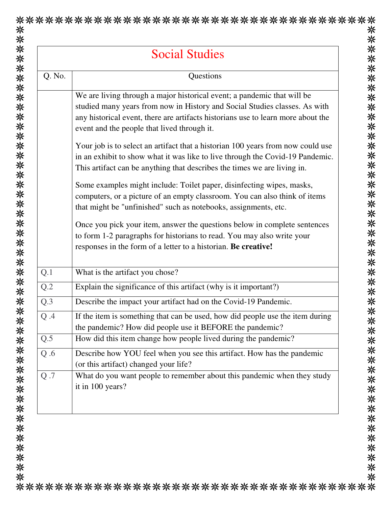| <b>Social Studies</b> |                                                                                                                                                                                                                                                                                          |  |  |  |
|-----------------------|------------------------------------------------------------------------------------------------------------------------------------------------------------------------------------------------------------------------------------------------------------------------------------------|--|--|--|
| Q. No.                | Questions                                                                                                                                                                                                                                                                                |  |  |  |
|                       | We are living through a major historical event; a pandemic that will be<br>studied many years from now in History and Social Studies classes. As with<br>any historical event, there are artifacts historians use to learn more about the<br>event and the people that lived through it. |  |  |  |
|                       | Your job is to select an artifact that a historian 100 years from now could use<br>in an exhibit to show what it was like to live through the Covid-19 Pandemic.<br>This artifact can be anything that describes the times we are living in.                                             |  |  |  |
|                       | Some examples might include: Toilet paper, disinfecting wipes, masks,<br>computers, or a picture of an empty classroom. You can also think of items<br>that might be "unfinished" such as notebooks, assignments, etc.                                                                   |  |  |  |
|                       | Once you pick your item, answer the questions below in complete sentences<br>to form 1-2 paragraphs for historians to read. You may also write your<br>responses in the form of a letter to a historian. Be creative!                                                                    |  |  |  |
| Q.1                   | What is the artifact you chose?                                                                                                                                                                                                                                                          |  |  |  |
| Q.2                   | Explain the significance of this artifact (why is it important?)                                                                                                                                                                                                                         |  |  |  |
| Q.3                   | Describe the impact your artifact had on the Covid-19 Pandemic.                                                                                                                                                                                                                          |  |  |  |
| Q.A                   | If the item is something that can be used, how did people use the item during<br>the pandemic? How did people use it BEFORE the pandemic?                                                                                                                                                |  |  |  |
| Q.5                   | How did this item change how people lived during the pandemic?                                                                                                                                                                                                                           |  |  |  |
| Q.6                   | Describe how YOU feel when you see this artifact. How has the pandemic<br>(or this artifact) changed your life?                                                                                                                                                                          |  |  |  |
| Q.7                   | What do you want people to remember about this pandemic when they study<br>it in 100 years?                                                                                                                                                                                              |  |  |  |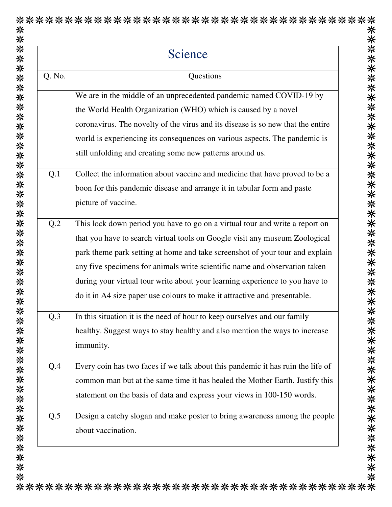| Science |                                                                                 |  |  |  |
|---------|---------------------------------------------------------------------------------|--|--|--|
| Q. No.  | Questions                                                                       |  |  |  |
|         | We are in the middle of an unprecedented pandemic named COVID-19 by             |  |  |  |
|         | the World Health Organization (WHO) which is caused by a novel                  |  |  |  |
|         | coronavirus. The novelty of the virus and its disease is so new that the entire |  |  |  |
|         | world is experiencing its consequences on various aspects. The pandemic is      |  |  |  |
|         | still unfolding and creating some new patterns around us.                       |  |  |  |
| Q.1     | Collect the information about vaccine and medicine that have proved to be a     |  |  |  |
|         | boon for this pandemic disease and arrange it in tabular form and paste         |  |  |  |
|         | picture of vaccine.                                                             |  |  |  |
| Q.2     | This lock down period you have to go on a virtual tour and write a report on    |  |  |  |
|         | that you have to search virtual tools on Google visit any museum Zoological     |  |  |  |
|         | park theme park setting at home and take screenshot of your tour and explain    |  |  |  |
|         | any five specimens for animals write scientific name and observation taken      |  |  |  |
|         | during your virtual tour write about your learning experience to you have to    |  |  |  |
|         | do it in A4 size paper use colours to make it attractive and presentable.       |  |  |  |
| Q.3     | In this situation it is the need of hour to keep ourselves and our family       |  |  |  |
|         | healthy. Suggest ways to stay healthy and also mention the ways to increase     |  |  |  |
|         | immunity.                                                                       |  |  |  |
| Q.4     | Every coin has two faces if we talk about this pandemic it has ruin the life of |  |  |  |
|         | common man but at the same time it has healed the Mother Earth. Justify this    |  |  |  |
|         | statement on the basis of data and express your views in 100-150 words.         |  |  |  |
| Q.5     | Design a catchy slogan and make poster to bring awareness among the people      |  |  |  |
|         | about vaccination.                                                              |  |  |  |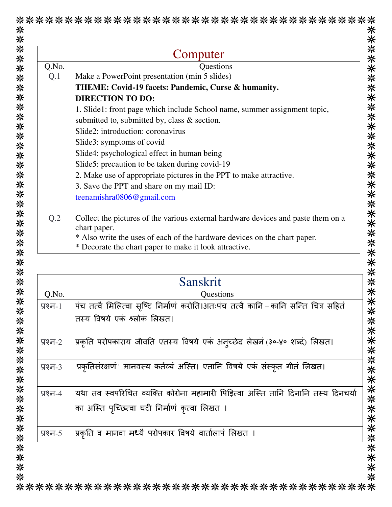|             | Computer                                                                                                                                   |
|-------------|--------------------------------------------------------------------------------------------------------------------------------------------|
| Q.No.       | <b>Questions</b>                                                                                                                           |
| Q.1         | Make a PowerPoint presentation (min 5 slides)                                                                                              |
|             | THEME: Covid-19 facets: Pandemic, Curse & humanity.                                                                                        |
|             | <b>DIRECTION TO DO:</b>                                                                                                                    |
|             | 1. Slide1: front page which include School name, summer assignment topic,                                                                  |
|             | submitted to, submitted by, class & section.                                                                                               |
|             | Slide2: introduction: coronavirus                                                                                                          |
|             | Slide3: symptoms of covid                                                                                                                  |
|             | Slide4: psychological effect in human being                                                                                                |
|             | Slide5: precaution to be taken during covid-19                                                                                             |
|             | 2. Make use of appropriate pictures in the PPT to make attractive.                                                                         |
|             | 3. Save the PPT and share on my mail ID:                                                                                                   |
|             | teenamishra0806@gmail.com                                                                                                                  |
|             |                                                                                                                                            |
| Q.2         | Collect the pictures of the various external hardware devices and paste them on a                                                          |
|             | chart paper.                                                                                                                               |
|             | * Also write the uses of each of the hardware devices on the chart paper.                                                                  |
|             | * Decorate the chart paper to make it look attractive.                                                                                     |
|             |                                                                                                                                            |
|             | Sanskrit                                                                                                                                   |
| Q.No.       | Questions                                                                                                                                  |
| प्रश्न-1    |                                                                                                                                            |
|             | पंच तत्वै मिलित्वा सृष्टि निर्माणं करोति।अतःपंच तत्वै कानि – कानि सन्ति चित्र सहितं                                                        |
|             | तस्य विषये एकं श्लोकं लिखत।                                                                                                                |
|             |                                                                                                                                            |
| प्रश्न-2    | प्रकृति परोपकाराय जीवति एतस्य विषये एकं अन्च्छेद लेखनं (३०-४० शब्दं) लिखत।                                                                 |
|             |                                                                                                                                            |
|             | 'प्रकृतिसंरक्षणं ' मानवस्य कर्तव्यं अस्ति। एतानि विषये एकं संस्कृत गीतं लिखत।                                                              |
| प्रश्न- $3$ |                                                                                                                                            |
| प्रश्न-4    |                                                                                                                                            |
|             |                                                                                                                                            |
|             | का अस्ति पृच्छित्वा घटी निर्माणं कृत्वा लिखत ।                                                                                             |
|             |                                                                                                                                            |
| प्रश्न-5    | यथा तव स्वपरिचित व्यक्ति कोरोना महामारी पिड़ित्वा अस्ति तानि दिनानि तस्य दिनचर्या<br>प्रकृति व मानवा मध्यै परोपकार विषये वार्तालापं लिखत । |

 $\ddot{\phantom{a}}$